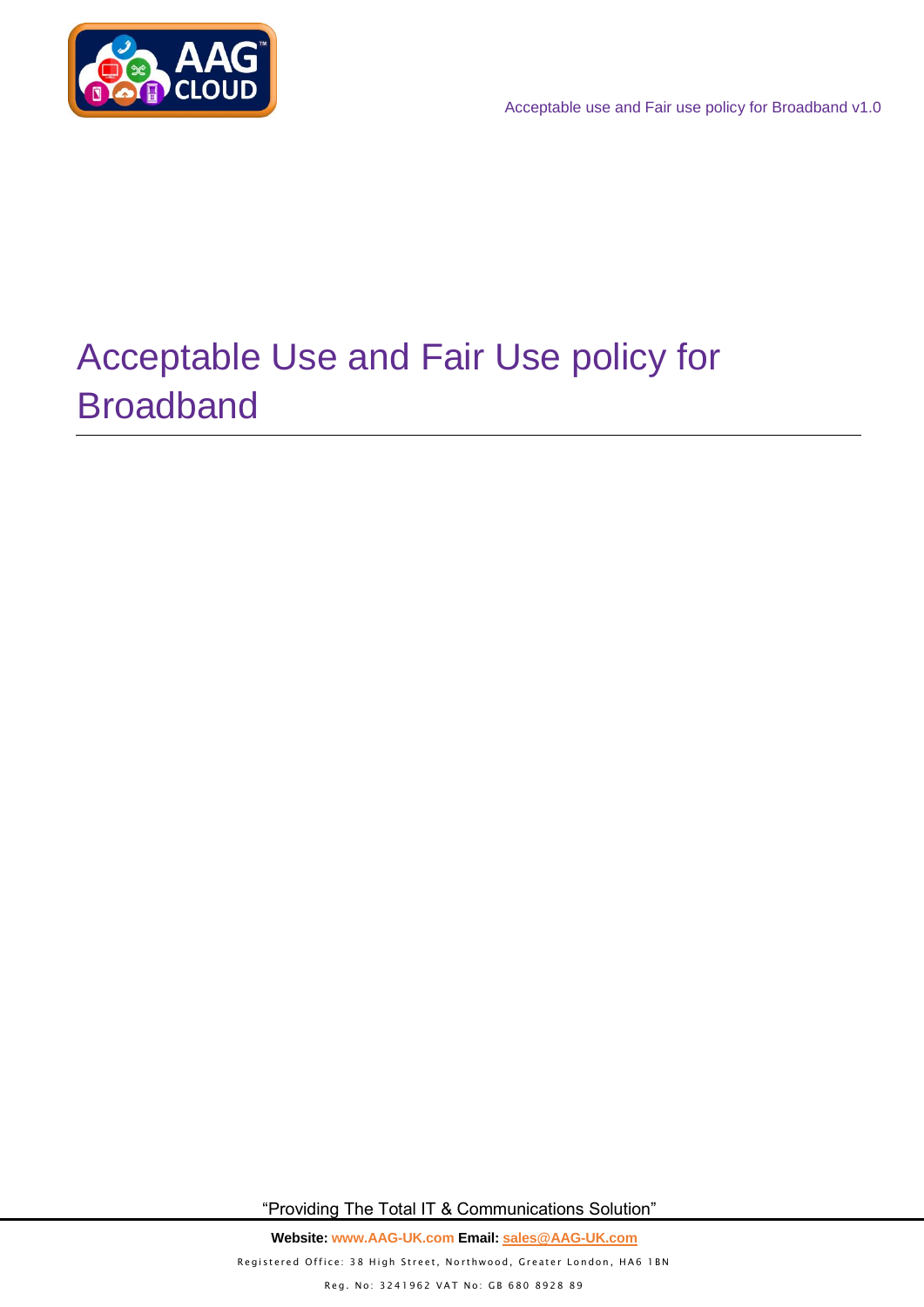

# Acceptable Use and Fair Use policy for Broadband

"Providing The Total IT & Communications Solution"

**Website: www.AAG-UK.com Email: [sales@AAG-UK.com](mailto:sales@AAG-UK.com)** Registered Office: 38 High Street, Northwood, Greater London, HA6 1BN Reg. No: 3241962 VAT No: GB 680 8928 89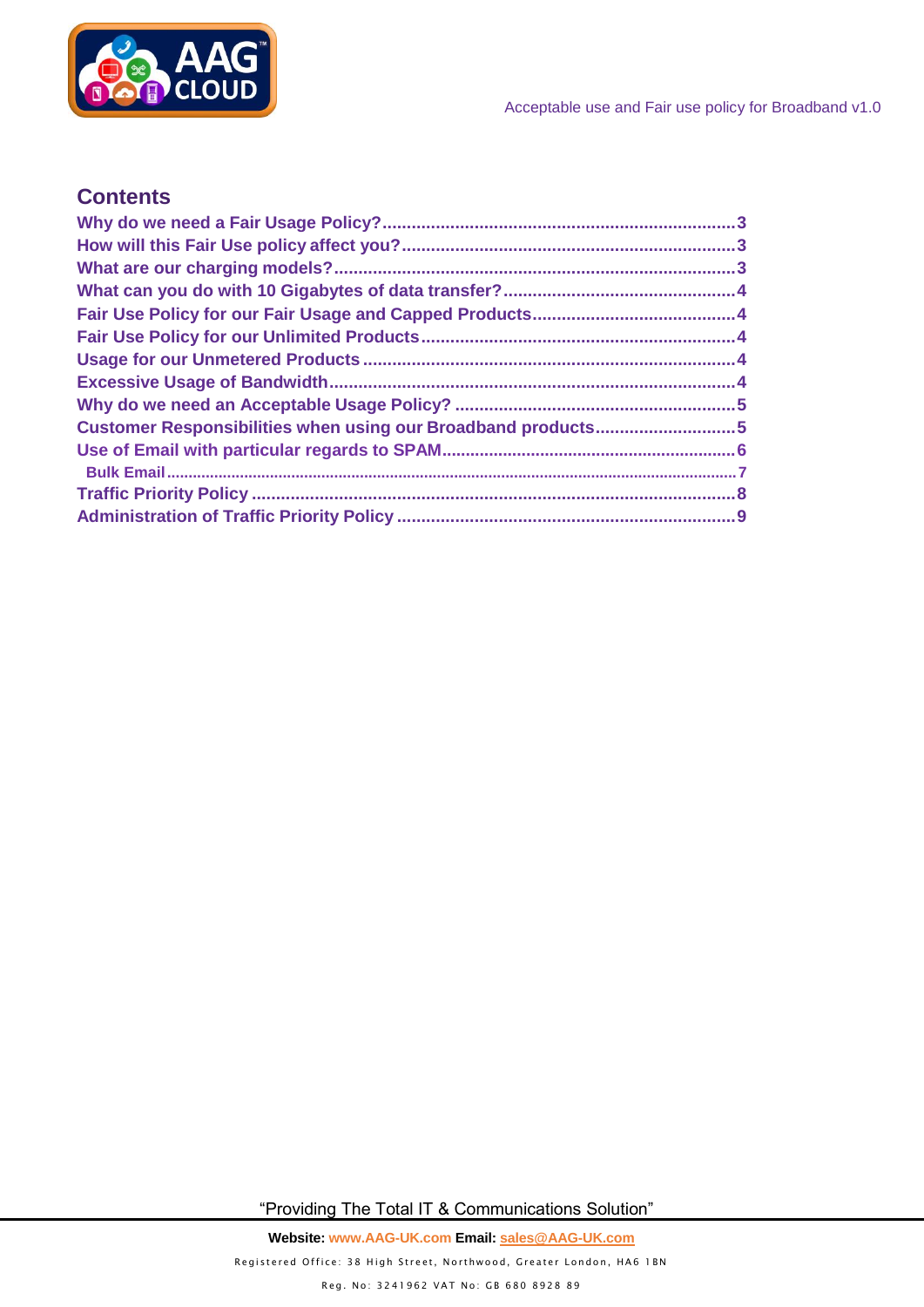

## **Contents**

| Customer Responsibilities when using our Broadband products5 |  |
|--------------------------------------------------------------|--|
|                                                              |  |
|                                                              |  |
|                                                              |  |
|                                                              |  |

"Providing The Total IT & Communications Solution"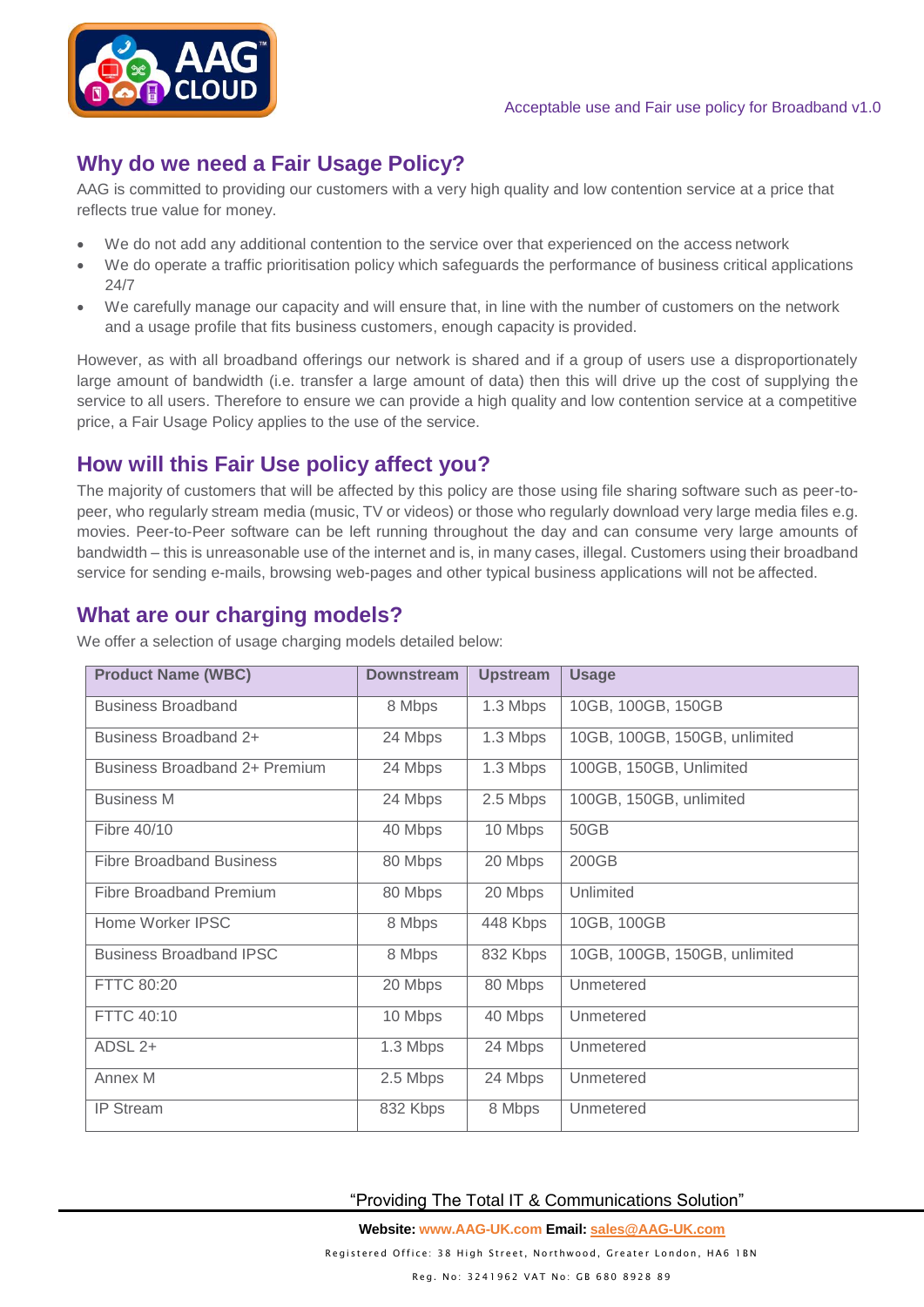

# <span id="page-2-0"></span>**Why do we need a Fair Usage Policy?**

AAG is committed to providing our customers with a very high quality and low contention service at a price that reflects true value for money.

- We do not add any additional contention to the service over that experienced on the access network
- We do operate a traffic prioritisation policy which safeguards the performance of business critical applications 24/7
- We carefully manage our capacity and will ensure that, in line with the number of customers on the network and a usage profile that fits business customers, enough capacity is provided.

However, as with all broadband offerings our network is shared and if a group of users use a disproportionately large amount of bandwidth (i.e. transfer a large amount of data) then this will drive up the cost of supplying the service to all users. Therefore to ensure we can provide a high quality and low contention service at a competitive price, a Fair Usage Policy applies to the use of the service.

# <span id="page-2-1"></span>**How will this Fair Use policy affect you?**

The majority of customers that will be affected by this policy are those using file sharing software such as peer-topeer, who regularly stream media (music, TV or videos) or those who regularly download very large media files e.g. movies. Peer-to-Peer software can be left running throughout the day and can consume very large amounts of bandwidth – this is unreasonable use of the internet and is, in many cases, illegal. Customers using their broadband service for sending e-mails, browsing web-pages and other typical business applications will not be affected.

# <span id="page-2-2"></span>**What are our charging models?**

| <b>Product Name (WBC)</b>            | <b>Downstream</b> | <b>Upstream</b> | <b>Usage</b>                  |  |
|--------------------------------------|-------------------|-----------------|-------------------------------|--|
| <b>Business Broadband</b>            | 8 Mbps            | 1.3 Mbps        | 10GB, 100GB, 150GB            |  |
| Business Broadband 2+                | 24 Mbps           | 1.3 Mbps        | 10GB, 100GB, 150GB, unlimited |  |
| <b>Business Broadband 2+ Premium</b> | 24 Mbps           | 1.3 Mbps        | 100GB, 150GB, Unlimited       |  |
| <b>Business M</b>                    | 24 Mbps           | 2.5 Mbps        | 100GB, 150GB, unlimited       |  |
| Fibre 40/10                          | 40 Mbps           | 10 Mbps         | 50GB                          |  |
| <b>Fibre Broadband Business</b>      | 80 Mbps           | 20 Mbps         | 200GB                         |  |
| Fibre Broadband Premium              | 80 Mbps           | 20 Mbps         | Unlimited                     |  |
| Home Worker IPSC                     | 8 Mbps            | 448 Kbps        | 10GB, 100GB                   |  |
| <b>Business Broadband IPSC</b>       | 8 Mbps            | 832 Kbps        | 10GB, 100GB, 150GB, unlimited |  |
| FTTC 80:20                           | 20 Mbps           | 80 Mbps         | Unmetered                     |  |
| FTTC 40:10                           | 10 Mbps           | 40 Mbps         | Unmetered                     |  |
| ADSL 2+                              | 1.3 Mbps          | 24 Mbps         | Unmetered                     |  |
| Annex M                              | 2.5 Mbps          | 24 Mbps         | Unmetered                     |  |
| <b>IP Stream</b>                     | 832 Kbps          | 8 Mbps          | Unmetered                     |  |

We offer a selection of usage charging models detailed below:

"Providing The Total IT & Communications Solution"

**Website: www.AAG-UK.com Email: [sales@AAG-UK.com](mailto:sales@AAG-UK.com)**

Registered Office: 38 High Street, Northwood, Greater London, HA6 1BN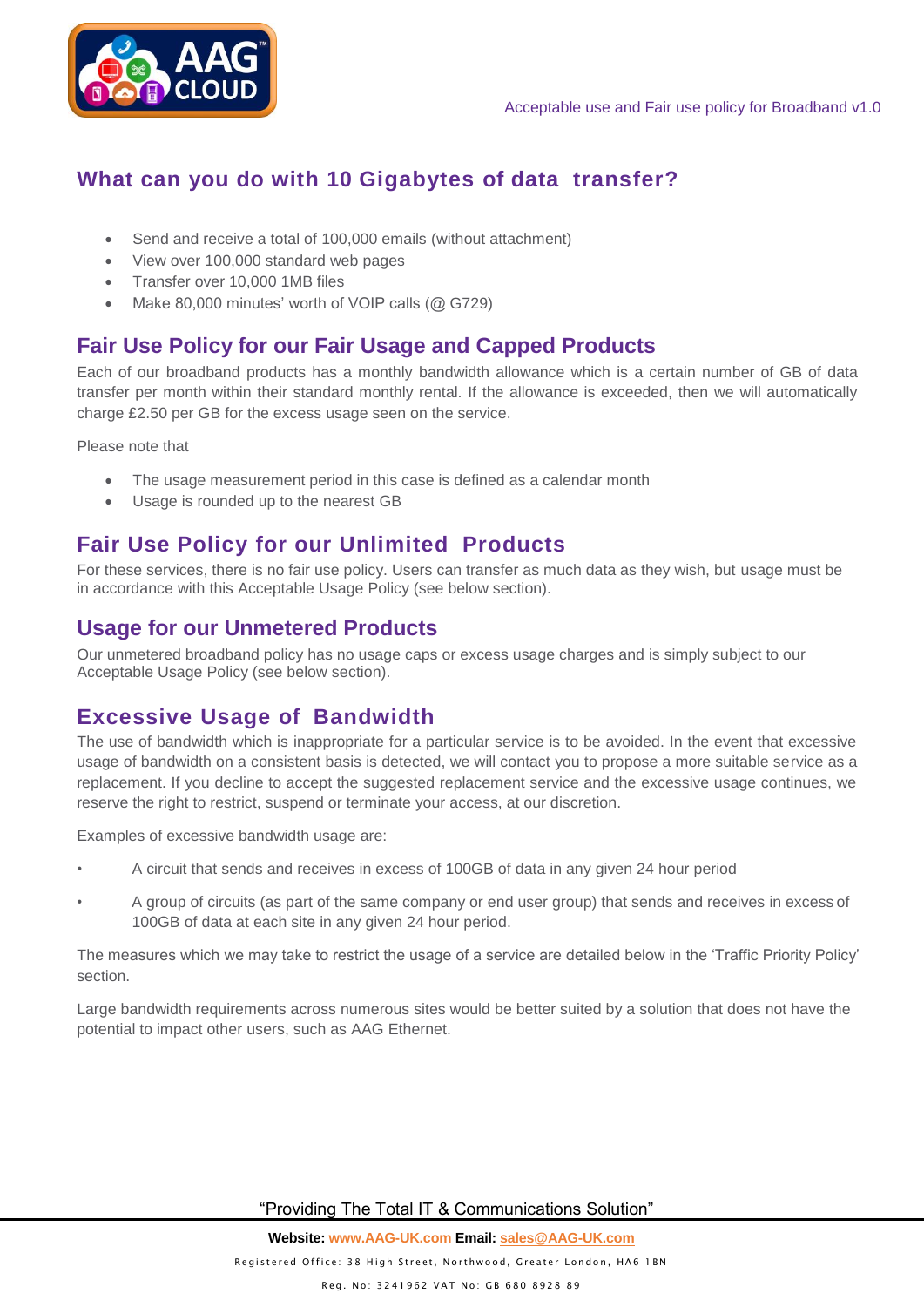

# <span id="page-3-0"></span>**What can you do with 10 Gigabytes of data transfer?**

- Send and receive a total of 100,000 emails (without attachment)
- View over 100,000 standard web pages
- Transfer over 10,000 1MB files
- Make 80,000 minutes' worth of VOIP calls (@ G729)

# <span id="page-3-1"></span>**Fair Use Policy for our Fair Usage and Capped Products**

Each of our broadband products has a monthly bandwidth allowance which is a certain number of GB of data transfer per month within their standard monthly rental. If the allowance is exceeded, then we will automatically charge £2.50 per GB for the excess usage seen on the service.

Please note that

- The usage measurement period in this case is defined as a calendar month
- Usage is rounded up to the nearest GB

# <span id="page-3-2"></span>**Fair Use Policy for our Unlimited Products**

For these services, there is no fair use policy. Users can transfer as much data as they wish, but usage must be in accordance with this Acceptable Usage Policy (see below section).

# <span id="page-3-3"></span>**Usage for our Unmetered Products**

Our unmetered broadband policy has no usage caps or excess usage charges and is simply subject to our Acceptable Usage Policy (see below section).

# <span id="page-3-4"></span>**Excessive Usage of Bandwidth**

The use of bandwidth which is inappropriate for a particular service is to be avoided. In the event that excessive usage of bandwidth on a consistent basis is detected, we will contact you to propose a more suitable service as a replacement. If you decline to accept the suggested replacement service and the excessive usage continues, we reserve the right to restrict, suspend or terminate your access, at our discretion.

Examples of excessive bandwidth usage are:

- A circuit that sends and receives in excess of 100GB of data in any given 24 hour period
- A group of circuits (as part of the same company or end user group) that sends and receives in excess of 100GB of data at each site in any given 24 hour period.

The measures which we may take to restrict the usage of a service are detailed below in the 'Traffic Priority Policy' section.

Large bandwidth requirements across numerous sites would be better suited by a solution that does not have the potential to impact other users, such as AAG Ethernet.

"Providing The Total IT & Communications Solution"

Registered Office: 38 High Street, Northwood, Greater London, HA6 1BN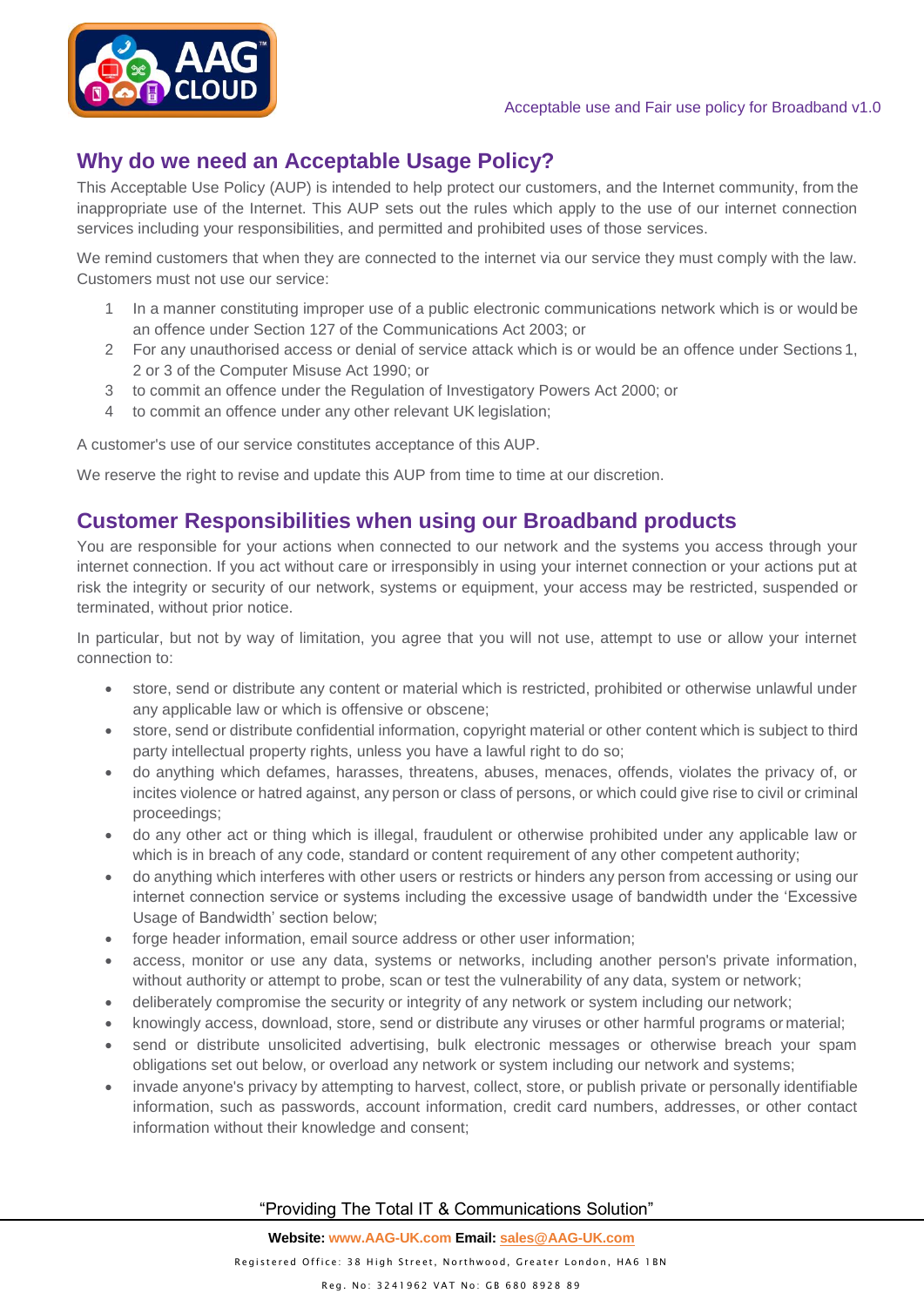

# <span id="page-4-0"></span>**Why do we need an Acceptable Usage Policy?**

This Acceptable Use Policy (AUP) is intended to help protect our customers, and the Internet community, from the inappropriate use of the Internet. This AUP sets out the rules which apply to the use of our internet connection services including your responsibilities, and permitted and prohibited uses of those services.

We remind customers that when they are connected to the internet via our service they must comply with the law. Customers must not use our service:

- 1 In a manner constituting improper use of a public electronic communications network which is or would be an offence under Section 127 of the Communications Act 2003; or
- 2 For any unauthorised access or denial of service attack which is or would be an offence under Sections 1, 2 or 3 of the Computer Misuse Act 1990; or
- 3 to commit an offence under the Regulation of Investigatory Powers Act 2000; or
- 4 to commit an offence under any other relevant UK legislation;

A customer's use of our service constitutes acceptance of this AUP.

We reserve the right to revise and update this AUP from time to time at our discretion.

## <span id="page-4-1"></span>**Customer Responsibilities when using our Broadband products**

You are responsible for your actions when connected to our network and the systems you access through your internet connection. If you act without care or irresponsibly in using your internet connection or your actions put at risk the integrity or security of our network, systems or equipment, your access may be restricted, suspended or terminated, without prior notice.

In particular, but not by way of limitation, you agree that you will not use, attempt to use or allow your internet connection to:

- store, send or distribute any content or material which is restricted, prohibited or otherwise unlawful under any applicable law or which is offensive or obscene;
- store, send or distribute confidential information, copyright material or other content which is subject to third party intellectual property rights, unless you have a lawful right to do so;
- do anything which defames, harasses, threatens, abuses, menaces, offends, violates the privacy of, or incites violence or hatred against, any person or class of persons, or which could give rise to civil or criminal proceedings;
- do any other act or thing which is illegal, fraudulent or otherwise prohibited under any applicable law or which is in breach of any code, standard or content requirement of any other competent authority;
- do anything which interferes with other users or restricts or hinders any person from accessing or using our internet connection service or systems including the excessive usage of bandwidth under the 'Excessive Usage of Bandwidth' section below;
- forge header information, email source address or other user information;
- access, monitor or use any data, systems or networks, including another person's private information, without authority or attempt to probe, scan or test the vulnerability of any data, system or network;
- deliberately compromise the security or integrity of any network or system including our network;
- knowingly access, download, store, send or distribute any viruses or other harmful programs or material;
- send or distribute unsolicited advertising, bulk electronic messages or otherwise breach your spam obligations set out below, or overload any network or system including our network and systems;
- invade anyone's privacy by attempting to harvest, collect, store, or publish private or personally identifiable information, such as passwords, account information, credit card numbers, addresses, or other contact information without their knowledge and consent;

#### "Providing The Total IT & Communications Solution"

**Website: www.AAG-UK.com Email[: sales@AAG-UK.com](mailto:sales@AAG-UK.com)**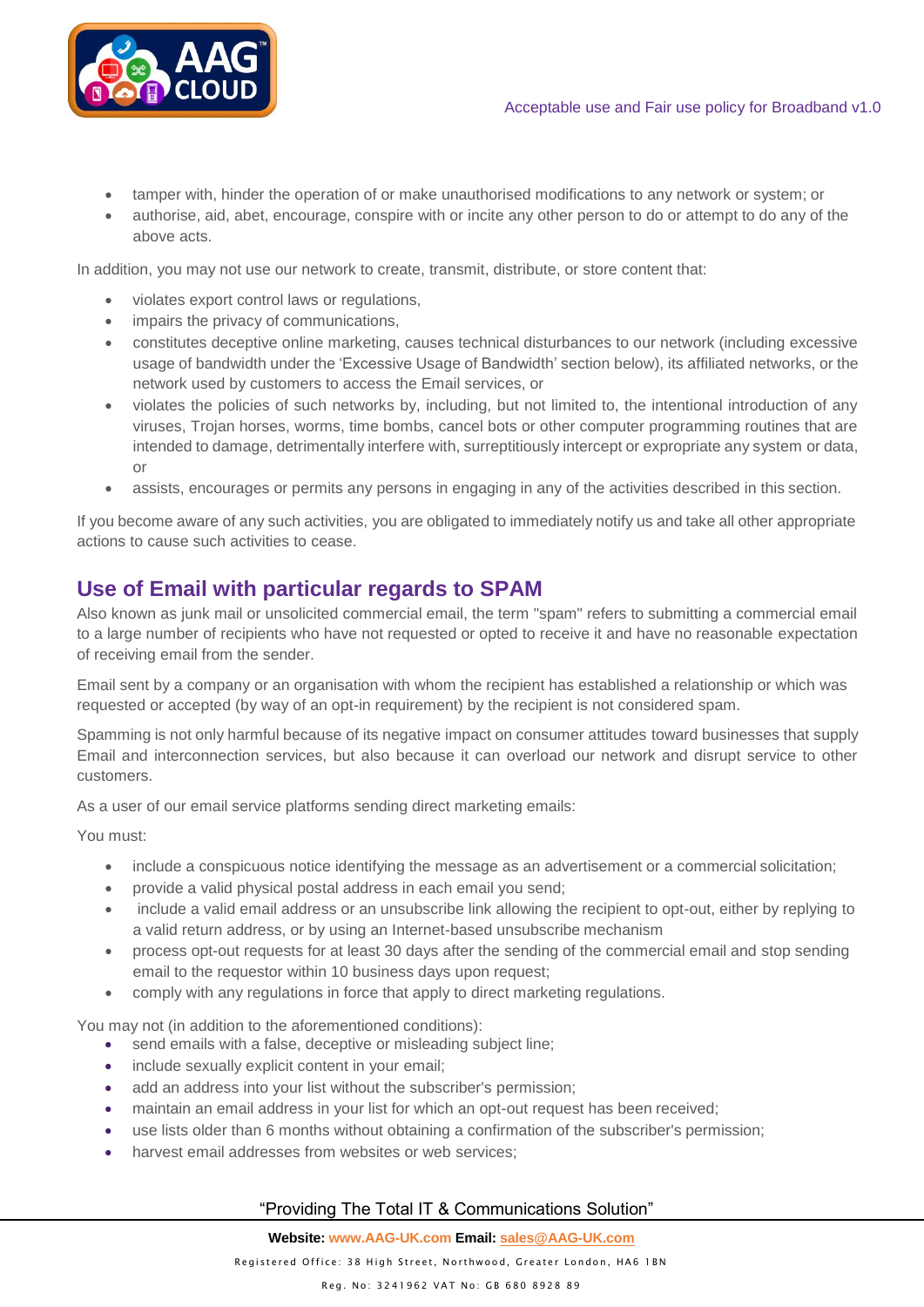- tamper with, hinder the operation of or make unauthorised modifications to any network or system; or
- authorise, aid, abet, encourage, conspire with or incite any other person to do or attempt to do any of the above acts.

In addition, you may not use our network to create, transmit, distribute, or store content that:

- violates export control laws or regulations,
- impairs the privacy of communications,
- constitutes deceptive online marketing, causes technical disturbances to our network (including excessive usage of bandwidth under the 'Excessive Usage of Bandwidth' section below), its affiliated networks, or the network used by customers to access the Email services, or
- violates the policies of such networks by, including, but not limited to, the intentional introduction of any viruses, Trojan horses, worms, time bombs, cancel bots or other computer programming routines that are intended to damage, detrimentally interfere with, surreptitiously intercept or expropriate any system or data, or
- assists, encourages or permits any persons in engaging in any of the activities described in this section.

If you become aware of any such activities, you are obligated to immediately notify us and take all other appropriate actions to cause such activities to cease.

## <span id="page-5-0"></span>**Use of Email with particular regards to SPAM**

Also known as junk mail or unsolicited commercial email, the term "spam" refers to submitting a commercial email to a large number of recipients who have not requested or opted to receive it and have no reasonable expectation of receiving email from the sender.

Email sent by a company or an organisation with whom the recipient has established a relationship or which was requested or accepted (by way of an opt-in requirement) by the recipient is not considered spam.

Spamming is not only harmful because of its negative impact on consumer attitudes toward businesses that supply Email and interconnection services, but also because it can overload our network and disrupt service to other customers.

As a user of our email service platforms sending direct marketing emails:

You must:

- include a conspicuous notice identifying the message as an advertisement or a commercial solicitation;
- provide a valid physical postal address in each email you send;
- include a valid email address or an unsubscribe link allowing the recipient to opt-out, either by replying to a valid return address, or by using an Internet-based unsubscribe mechanism
- process opt-out requests for at least 30 days after the sending of the commercial email and stop sending email to the requestor within 10 business days upon request;
- comply with any regulations in force that apply to direct marketing regulations.

You may not (in addition to the aforementioned conditions):

- send emails with a false, deceptive or misleading subject line;
- include sexually explicit content in your email;
- add an address into your list without the subscriber's permission;
- maintain an email address in your list for which an opt-out request has been received;
- use lists older than 6 months without obtaining a confirmation of the subscriber's permission;
- harvest email addresses from websites or web services:

#### "Providing The Total IT & Communications Solution"

**Website: www.AAG-UK.com Email[: sales@AAG-UK.com](mailto:sales@AAG-UK.com)**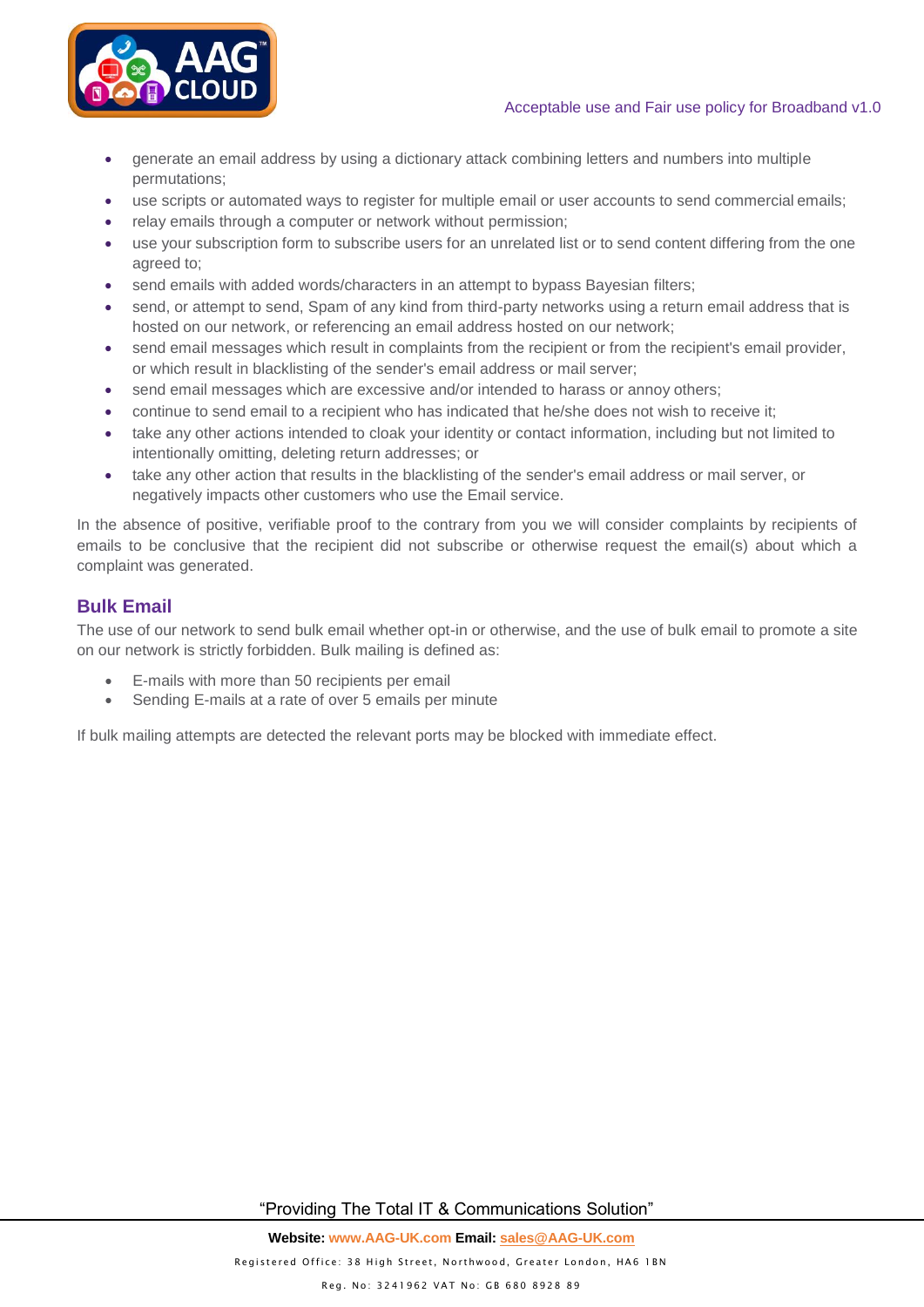#### Acceptable use and Fair use policy for Broadband v1.0



- generate an email address by using a dictionary attack combining letters and numbers into multiple permutations;
- use scripts or automated ways to register for multiple email or user accounts to send commercial emails;
- relay emails through a computer or network without permission;
- use your subscription form to subscribe users for an unrelated list or to send content differing from the one agreed to;
- send emails with added words/characters in an attempt to bypass Bayesian filters;
- send, or attempt to send, Spam of any kind from third-party networks using a return email address that is hosted on our network, or referencing an email address hosted on our network;
- send email messages which result in complaints from the recipient or from the recipient's email provider, or which result in blacklisting of the sender's email address or mail server;
- send email messages which are excessive and/or intended to harass or annoy others;
- continue to send email to a recipient who has indicated that he/she does not wish to receive it;
- take any other actions intended to cloak your identity or contact information, including but not limited to intentionally omitting, deleting return addresses; or
- take any other action that results in the blacklisting of the sender's email address or mail server, or negatively impacts other customers who use the Email service.

In the absence of positive, verifiable proof to the contrary from you we will consider complaints by recipients of emails to be conclusive that the recipient did not subscribe or otherwise request the email(s) about which a complaint was generated.

### <span id="page-6-0"></span>**Bulk Email**

The use of our network to send bulk email whether opt-in or otherwise, and the use of bulk email to promote a site on our network is strictly forbidden. Bulk mailing is defined as:

- E-mails with more than 50 recipients per email
- Sending E-mails at a rate of over 5 emails per minute

If bulk mailing attempts are detected the relevant ports may be blocked with immediate effect.

"Providing The Total IT & Communications Solution"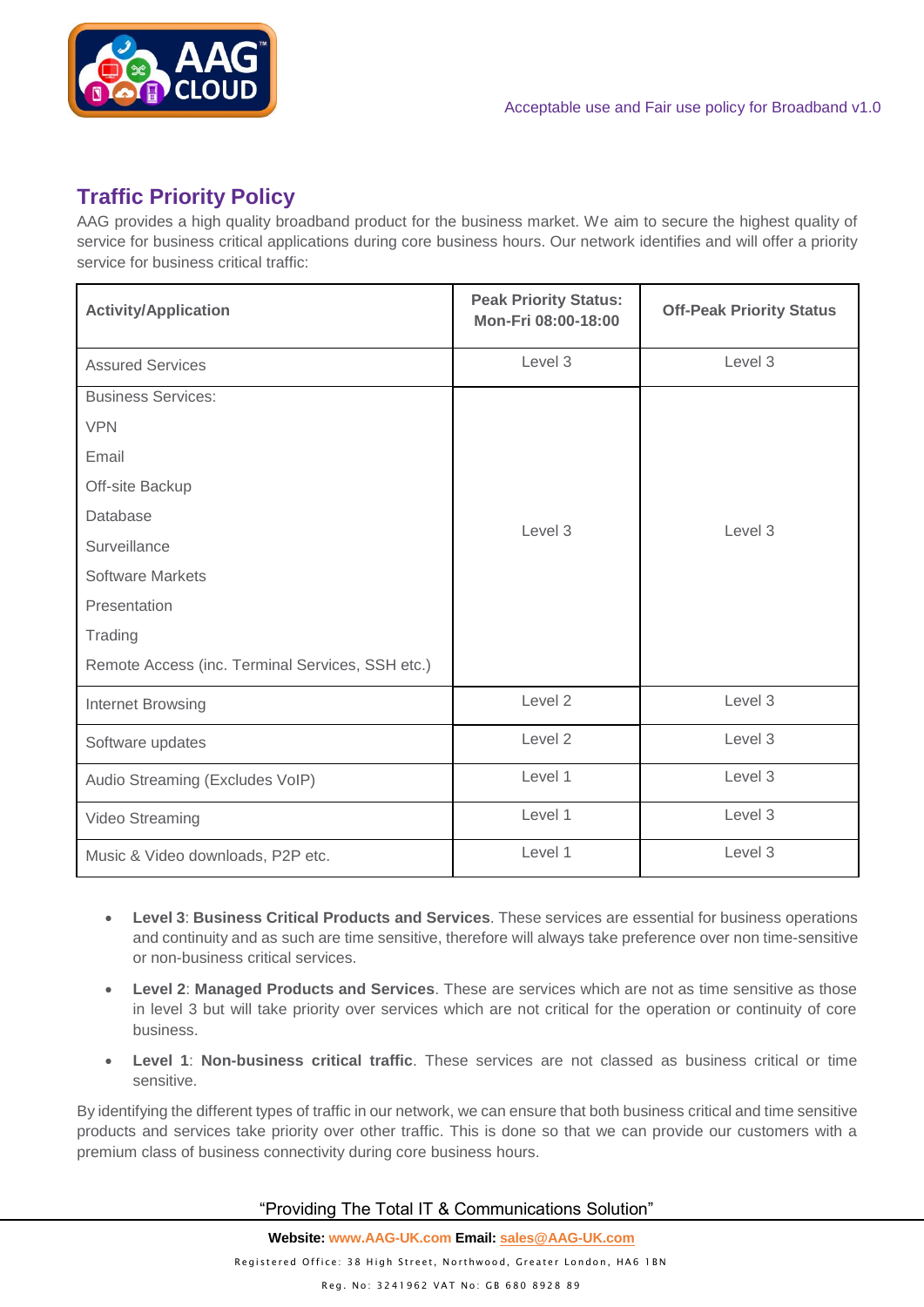

# <span id="page-7-0"></span>**Traffic Priority Policy**

AAG provides a high quality broadband product for the business market. We aim to secure the highest quality of service for business critical applications during core business hours. Our network identifies and will offer a priority service for business critical traffic:

| <b>Activity/Application</b>                      | <b>Peak Priority Status:</b><br>Mon-Fri 08:00-18:00 | <b>Off-Peak Priority Status</b> |  |
|--------------------------------------------------|-----------------------------------------------------|---------------------------------|--|
| <b>Assured Services</b>                          | Level 3                                             | Level 3                         |  |
| <b>Business Services:</b>                        |                                                     |                                 |  |
| <b>VPN</b>                                       |                                                     |                                 |  |
| Email                                            |                                                     |                                 |  |
| Off-site Backup                                  |                                                     |                                 |  |
| Database                                         | Level 3                                             | Level 3                         |  |
| Surveillance                                     |                                                     |                                 |  |
| <b>Software Markets</b>                          |                                                     |                                 |  |
| Presentation                                     |                                                     |                                 |  |
| Trading                                          |                                                     |                                 |  |
| Remote Access (inc. Terminal Services, SSH etc.) |                                                     |                                 |  |
| Internet Browsing                                | Level 2                                             | Level 3                         |  |
| Software updates                                 | Level 2                                             | Level 3                         |  |
| Audio Streaming (Excludes VoIP)                  | Level 1                                             | Level 3                         |  |
| Video Streaming                                  | Level 1                                             | Level 3                         |  |
| Music & Video downloads, P2P etc.                | Level 1                                             | Level 3                         |  |

- **Level 3**: **Business Critical Products and Services**. These services are essential for business operations and continuity and as such are time sensitive, therefore will always take preference over non time-sensitive or non-business critical services.
- **Level 2**: **Managed Products and Services**. These are services which are not as time sensitive as those in level 3 but will take priority over services which are not critical for the operation or continuity of core business.
- **Level 1**: **Non-business critical traffic**. These services are not classed as business critical or time sensitive.

By identifying the different types of traffic in our network, we can ensure that both business critical and time sensitive products and services take priority over other traffic. This is done so that we can provide our customers with a premium class of business connectivity during core business hours.

"Providing The Total IT & Communications Solution"

**Website: www.AAG-UK.com Email[: sales@AAG-UK.com](mailto:sales@AAG-UK.com)** Registered Office: 38 High Street, Northwood, Greater London, HA6 1BN Reg. No: 3241962 VAT No: GB 680 8928 89